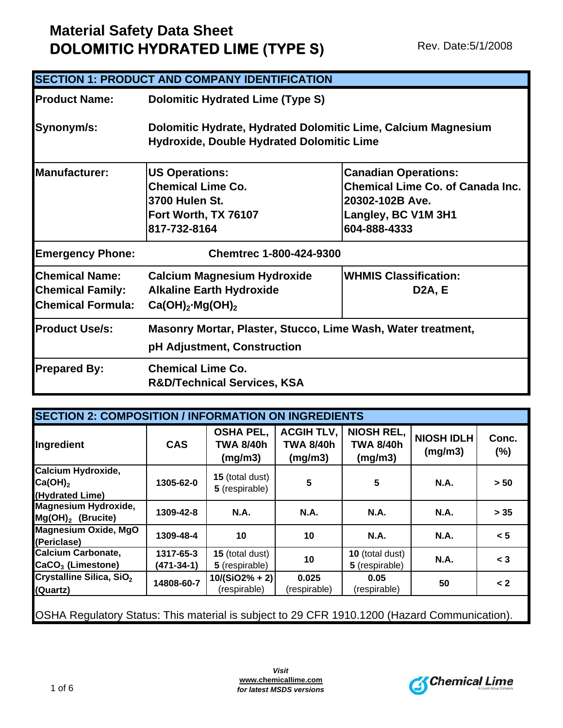|                                                                              | <b>SECTION 1: PRODUCT AND COMPANY IDENTIFICATION</b>                                                        |                                                                                                                                  |
|------------------------------------------------------------------------------|-------------------------------------------------------------------------------------------------------------|----------------------------------------------------------------------------------------------------------------------------------|
| <b>IProduct Name:</b>                                                        | <b>Dolomitic Hydrated Lime (Type S)</b>                                                                     |                                                                                                                                  |
| Synonym/s:                                                                   | Dolomitic Hydrate, Hydrated Dolomitic Lime, Calcium Magnesium<br>Hydroxide, Double Hydrated Dolomitic Lime  |                                                                                                                                  |
| <b>Manufacturer:</b>                                                         | <b>US Operations:</b><br><b>Chemical Lime Co.</b><br>3700 Hulen St.<br>Fort Worth, TX 76107<br>817-732-8164 | <b>Canadian Operations:</b><br><b>Chemical Lime Co. of Canada Inc.</b><br>20302-102B Ave.<br>Langley, BC V1M 3H1<br>604-888-4333 |
| <b>Emergency Phone:</b>                                                      | <b>Chemtrec 1-800-424-9300</b>                                                                              |                                                                                                                                  |
| <b>Chemical Name:</b><br><b>Chemical Family:</b><br><b>Chemical Formula:</b> | <b>Calcium Magnesium Hydroxide</b><br><b>Alkaline Earth Hydroxide</b><br>$Ca(OH)_2 \cdot Mg(OH)_2$          | <b>WHMIS Classification:</b><br><b>D2A, E</b>                                                                                    |
| <b>Product Use/s:</b>                                                        | Masonry Mortar, Plaster, Stucco, Lime Wash, Water treatment,<br>pH Adjustment, Construction                 |                                                                                                                                  |
| <b>Prepared By:</b>                                                          | <b>Chemical Lime Co.</b><br><b>R&amp;D/Technical Services, KSA</b>                                          |                                                                                                                                  |

| Ingredient                                                                                   | <b>CAS</b>                    | <b>OSHA PEL,</b><br><b>TWA 8/40h</b><br>(mg/m3) | <b>ACGIH TLV,</b><br><b>TWA 8/40h</b><br>(mg/m3) | <b>NIOSH REL,</b><br><b>TWA 8/40h</b><br>(mg/m3) | <b>NIOSH IDLH</b><br>(mg/m3) | Conc.<br>(%) |
|----------------------------------------------------------------------------------------------|-------------------------------|-------------------------------------------------|--------------------------------------------------|--------------------------------------------------|------------------------------|--------------|
| Calcium Hydroxide,<br>$Ca(OH)_2$<br>(Hydrated Lime)                                          | 1305-62-0                     | 15 (total dust)<br>5 (respirable)               | 5                                                | $5\phantom{.0}$                                  | <b>N.A.</b>                  | > 50         |
| <b>Magnesium Hydroxide,</b><br>$Mg(OH)2$ (Brucite)                                           | 1309-42-8                     | <b>N.A.</b>                                     | <b>N.A.</b>                                      | <b>N.A.</b>                                      | <b>N.A.</b>                  | > 35         |
| Magnesium Oxide, MgO<br>(Periclase)                                                          | 1309-48-4                     | 10                                              | 10                                               | <b>N.A.</b>                                      | <b>N.A.</b>                  | < 5          |
| <b>Calcium Carbonate,</b><br>CaCO <sub>3</sub> (Limestone)                                   | 1317-65-3<br>$(471 - 34 - 1)$ | 15 (total dust)<br>5 (respirable)               | 10                                               | 10 (total dust)<br>5 (respirable)                | <b>N.A.</b>                  | $<$ 3        |
| Crystalline Silica, SiO <sub>2</sub><br>(Quartz)                                             | 14808-60-7                    | $10/(SiO2\% + 2)$<br>(respirable)               | 0.025<br>(respirable)                            | 0.05<br>(respirable)                             | 50                           | $\lt 2$      |
| OSHA Regulatory Status: This material is subject to 29 CFR 1910.1200 (Hazard Communication). |                               |                                                 |                                                  |                                                  |                              |              |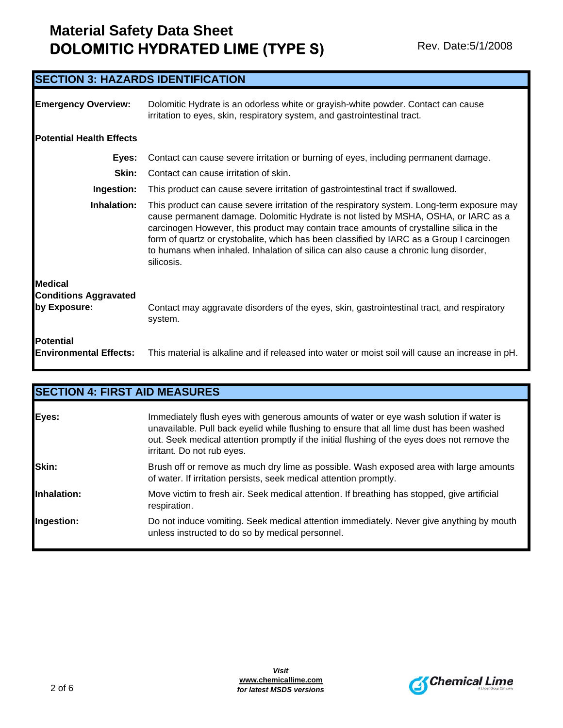| <b>SECTION 3: HAZARDS IDENTIFICATION</b>                       |                                                                                                                                                                                                                                                                                                                                                                                                                                                                                 |
|----------------------------------------------------------------|---------------------------------------------------------------------------------------------------------------------------------------------------------------------------------------------------------------------------------------------------------------------------------------------------------------------------------------------------------------------------------------------------------------------------------------------------------------------------------|
| <b>Emergency Overview:</b>                                     | Dolomitic Hydrate is an odorless white or grayish-white powder. Contact can cause<br>irritation to eyes, skin, respiratory system, and gastrointestinal tract.                                                                                                                                                                                                                                                                                                                  |
| <b>Potential Health Effects</b>                                |                                                                                                                                                                                                                                                                                                                                                                                                                                                                                 |
| Eyes:                                                          | Contact can cause severe irritation or burning of eyes, including permanent damage.                                                                                                                                                                                                                                                                                                                                                                                             |
| Skin:                                                          | Contact can cause irritation of skin.                                                                                                                                                                                                                                                                                                                                                                                                                                           |
| Ingestion:                                                     | This product can cause severe irritation of gastrointestinal tract if swallowed.                                                                                                                                                                                                                                                                                                                                                                                                |
| Inhalation:                                                    | This product can cause severe irritation of the respiratory system. Long-term exposure may<br>cause permanent damage. Dolomitic Hydrate is not listed by MSHA, OSHA, or IARC as a<br>carcinogen However, this product may contain trace amounts of crystalline silica in the<br>form of quartz or crystobalite, which has been classified by IARC as a Group I carcinogen<br>to humans when inhaled. Inhalation of silica can also cause a chronic lung disorder,<br>silicosis. |
| <b>Medical</b><br><b>Conditions Aggravated</b><br>by Exposure: | Contact may aggravate disorders of the eyes, skin, gastrointestinal tract, and respiratory<br>system.                                                                                                                                                                                                                                                                                                                                                                           |
| <b>Potential</b><br><b>Environmental Effects:</b>              | This material is alkaline and if released into water or moist soil will cause an increase in pH.                                                                                                                                                                                                                                                                                                                                                                                |

|             | <b>SECTION 4: FIRST AID MEASURES</b>                                                                                                                                                                                                                                                                              |
|-------------|-------------------------------------------------------------------------------------------------------------------------------------------------------------------------------------------------------------------------------------------------------------------------------------------------------------------|
| Eyes:       | Immediately flush eyes with generous amounts of water or eye wash solution if water is<br>unavailable. Pull back eyelid while flushing to ensure that all lime dust has been washed<br>out. Seek medical attention promptly if the initial flushing of the eyes does not remove the<br>irritant. Do not rub eyes. |
| Skin:       | Brush off or remove as much dry lime as possible. Wash exposed area with large amounts<br>of water. If irritation persists, seek medical attention promptly.                                                                                                                                                      |
| Inhalation: | Move victim to fresh air. Seek medical attention. If breathing has stopped, give artificial<br>respiration.                                                                                                                                                                                                       |
| Ingestion:  | Do not induce vomiting. Seek medical attention immediately. Never give anything by mouth<br>unless instructed to do so by medical personnel.                                                                                                                                                                      |

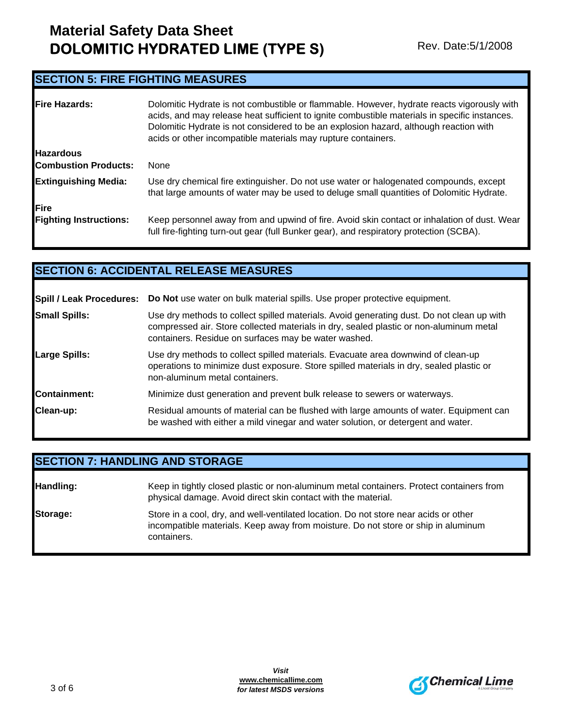### **SECTION 5: FIRE FIGHTING MEASURES**

| <b>Fire Hazards:</b>                            | Dolomitic Hydrate is not combustible or flammable. However, hydrate reacts vigorously with<br>acids, and may release heat sufficient to ignite combustible materials in specific instances.<br>Dolomitic Hydrate is not considered to be an explosion hazard, although reaction with<br>acids or other incompatible materials may rupture containers. |
|-------------------------------------------------|-------------------------------------------------------------------------------------------------------------------------------------------------------------------------------------------------------------------------------------------------------------------------------------------------------------------------------------------------------|
| <b>Hazardous</b><br><b>Combustion Products:</b> | None                                                                                                                                                                                                                                                                                                                                                  |
|                                                 |                                                                                                                                                                                                                                                                                                                                                       |
| <b>Extinguishing Media:</b>                     | Use dry chemical fire extinguisher. Do not use water or halogenated compounds, except<br>that large amounts of water may be used to deluge small quantities of Dolomitic Hydrate.                                                                                                                                                                     |
| Fire                                            |                                                                                                                                                                                                                                                                                                                                                       |
| <b>Fighting Instructions:</b>                   | Keep personnel away from and upwind of fire. Avoid skin contact or inhalation of dust. Wear<br>full fire-fighting turn-out gear (full Bunker gear), and respiratory protection (SCBA).                                                                                                                                                                |

### **SECTION 6: ACCIDENTAL RELEASE MEASURES**

|                      | Spill / Leak Procedures: Do Not use water on bulk material spills. Use proper protective equipment.                                                                                                                                         |
|----------------------|---------------------------------------------------------------------------------------------------------------------------------------------------------------------------------------------------------------------------------------------|
| <b>Small Spills:</b> | Use dry methods to collect spilled materials. Avoid generating dust. Do not clean up with<br>compressed air. Store collected materials in dry, sealed plastic or non-aluminum metal<br>containers. Residue on surfaces may be water washed. |
| Large Spills:        | Use dry methods to collect spilled materials. Evacuate area downwind of clean-up<br>operations to minimize dust exposure. Store spilled materials in dry, sealed plastic or<br>non-aluminum metal containers.                               |
| <b>Containment:</b>  | Minimize dust generation and prevent bulk release to sewers or waterways.                                                                                                                                                                   |
| Clean-up:            | Residual amounts of material can be flushed with large amounts of water. Equipment can<br>be washed with either a mild vinegar and water solution, or detergent and water.                                                                  |

### **SECTION 7: HANDLING AND STORAGE**

| Handling: | Keep in tightly closed plastic or non-aluminum metal containers. Protect containers from<br>physical damage. Avoid direct skin contact with the material.                                |
|-----------|------------------------------------------------------------------------------------------------------------------------------------------------------------------------------------------|
| Storage:  | Store in a cool, dry, and well-ventilated location. Do not store near acids or other<br>incompatible materials. Keep away from moisture. Do not store or ship in aluminum<br>containers. |

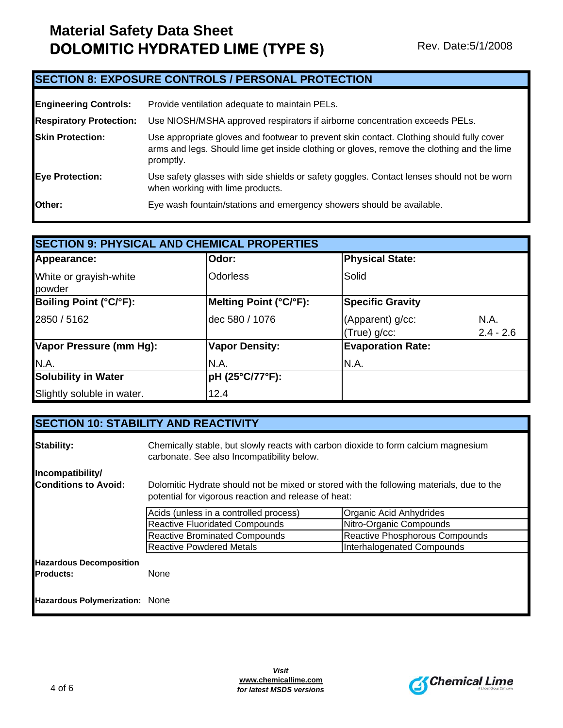### **SECTION 8: EXPOSURE CONTROLS / PERSONAL PROTECTION**

| <b>Engineering Controls:</b>   | Provide ventilation adequate to maintain PELs.                                                                                                                                                      |
|--------------------------------|-----------------------------------------------------------------------------------------------------------------------------------------------------------------------------------------------------|
| <b>Respiratory Protection:</b> | Use NIOSH/MSHA approved respirators if airborne concentration exceeds PELs.                                                                                                                         |
| <b>Skin Protection:</b>        | Use appropriate gloves and footwear to prevent skin contact. Clothing should fully cover<br>arms and legs. Should lime get inside clothing or gloves, remove the clothing and the lime<br>promptly. |
| <b>Eye Protection:</b>         | Use safety glasses with side shields or safety goggles. Contact lenses should not be worn<br>when working with lime products.                                                                       |
| Other:                         | Eye wash fountain/stations and emergency showers should be available.                                                                                                                               |

| <b>SECTION 9: PHYSICAL AND CHEMICAL PROPERTIES</b> |                        |                          |             |
|----------------------------------------------------|------------------------|--------------------------|-------------|
| Appearance:                                        | Odor:                  | <b>Physical State:</b>   |             |
| White or grayish-white<br>powder                   | <b>Odorless</b>        | Solid                    |             |
| Boiling Point (°C/°F):                             | Melting Point (°C/°F): | <b>Specific Gravity</b>  |             |
| 2850 / 5162                                        | dec 580 / 1076         | (Apparent) g/cc:         | N.A.        |
|                                                    |                        | (True) g/cc:             | $2.4 - 2.6$ |
| Vapor Pressure (mm Hg):                            | <b>Vapor Density:</b>  | <b>Evaporation Rate:</b> |             |
| N.A.                                               | N.A.                   | N.A.                     |             |
| <b>Solubility in Water</b>                         | pH (25°C/77°F):        |                          |             |
| Slightly soluble in water.                         | 12.4                   |                          |             |

|                                                    | <b>SECTION 10: STABILITY AND REACTIVITY</b>                                                                                                      |                                |  |
|----------------------------------------------------|--------------------------------------------------------------------------------------------------------------------------------------------------|--------------------------------|--|
| <b>Stability:</b>                                  | Chemically stable, but slowly reacts with carbon dioxide to form calcium magnesium<br>carbonate. See also Incompatibility below.                 |                                |  |
| Incompatibility/                                   |                                                                                                                                                  |                                |  |
| <b>Conditions to Avoid:</b>                        | Dolomitic Hydrate should not be mixed or stored with the following materials, due to the<br>potential for vigorous reaction and release of heat: |                                |  |
|                                                    | Acids (unless in a controlled process)                                                                                                           | Organic Acid Anhydrides        |  |
|                                                    | <b>Reactive Fluoridated Compounds</b>                                                                                                            | Nitro-Organic Compounds        |  |
|                                                    | <b>Reactive Brominated Compounds</b>                                                                                                             | Reactive Phosphorous Compounds |  |
|                                                    | <b>Reactive Powdered Metals</b>                                                                                                                  | Interhalogenated Compounds     |  |
| <b>Hazardous Decomposition</b><br><b>Products:</b> | None                                                                                                                                             |                                |  |
| Hazardous Polymerization: None                     |                                                                                                                                                  |                                |  |

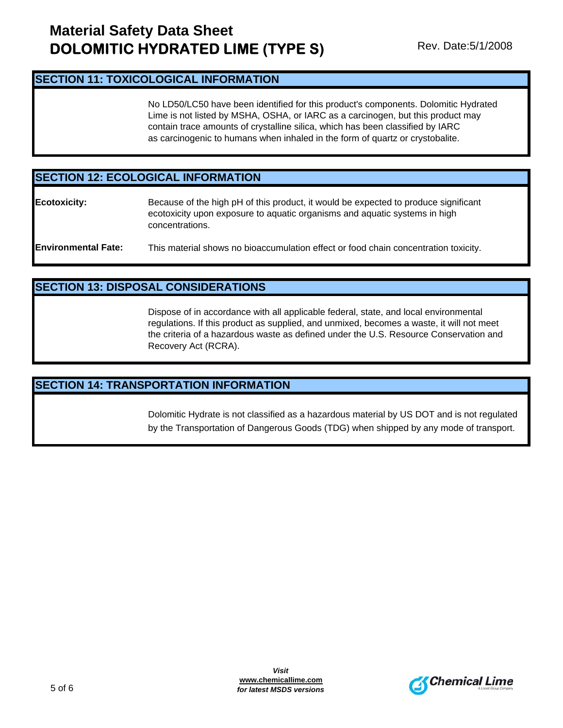#### **SECTION 11: TOXICOLOGICAL INFORMATION**

No LD50/LC50 have been identified for this product's components. Dolomitic Hydrated Lime is not listed by MSHA, OSHA, or IARC as a carcinogen, but this product may contain trace amounts of crystalline silica, which has been classified by IARC as carcinogenic to humans when inhaled in the form of quartz or crystobalite.

### **SECTION 12: ECOLOGICAL INFORMATION**

**Ecotoxicity:** Because of the high pH of this product, it would be expected to produce significant ecotoxicity upon exposure to aquatic organisms and aquatic systems in high concentrations.

### **SECTION 13: DISPOSAL CONSIDERATIONS**

Dispose of in accordance with all applicable federal, state, and local environmental regulations. If this product as supplied, and unmixed, becomes a waste, it will not meet the criteria of a hazardous waste as defined under the U.S. Resource Conservation and Recovery Act (RCRA).

#### **SECTION 14: TRANSPORTATION INFORMATION**

Dolomitic Hydrate is not classified as a hazardous material by US DOT and is not regulated by the Transportation of Dangerous Goods (TDG) when shipped by any mode of transport.



**Environmental Fate:** This material shows no bioaccumulation effect or food chain concentration toxicity.